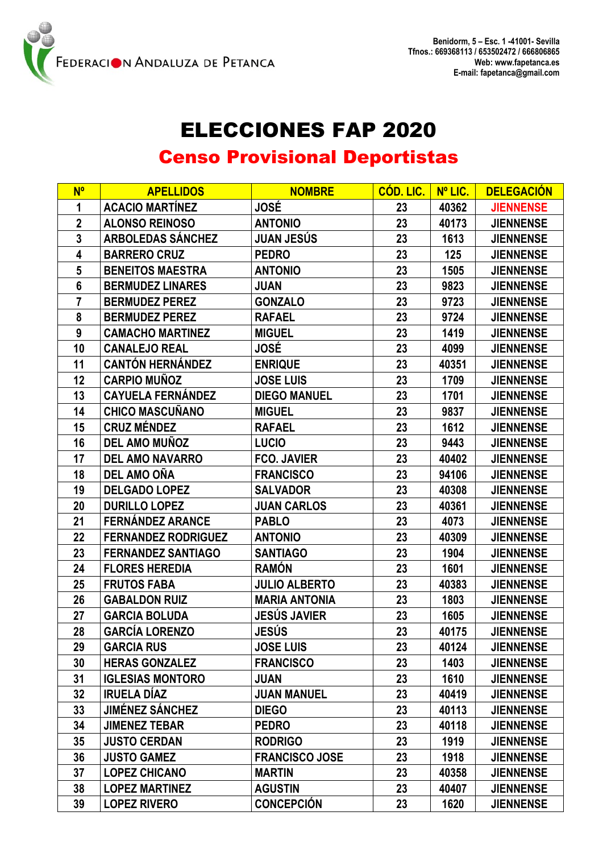

## ELECCIONES FAP 2020

## Censo Provisional Deportistas

| <b>N°</b>       | <b>APELLIDOS</b>           | <b>NOMBRE</b>         | <b>COD. LIC.</b> | Nº LIC. | <b>DELEGACIÓN</b> |
|-----------------|----------------------------|-----------------------|------------------|---------|-------------------|
| 1               | <b>ACACIO MARTÍNEZ</b>     | <b>JOSÉ</b>           | 23               | 40362   | <b>JIENNENSE</b>  |
| $\overline{2}$  | <b>ALONSO REINOSO</b>      | <b>ANTONIO</b>        | 23               | 40173   | <b>JIENNENSE</b>  |
| $\mathbf{3}$    | <b>ARBOLEDAS SÁNCHEZ</b>   | <b>JUAN JESÚS</b>     | 23               | 1613    | <b>JIENNENSE</b>  |
| 4               | <b>BARRERO CRUZ</b>        | <b>PEDRO</b>          | 23               | 125     | <b>JIENNENSE</b>  |
| 5               | <b>BENEITOS MAESTRA</b>    | <b>ANTONIO</b>        | 23               | 1505    | <b>JIENNENSE</b>  |
| $6\phantom{1}6$ | <b>BERMUDEZ LINARES</b>    | <b>JUAN</b>           | 23               | 9823    | <b>JIENNENSE</b>  |
| 7               | <b>BERMUDEZ PEREZ</b>      | <b>GONZALO</b>        | 23               | 9723    | <b>JIENNENSE</b>  |
| 8               | <b>BERMUDEZ PEREZ</b>      | <b>RAFAEL</b>         | 23               | 9724    | <b>JIENNENSE</b>  |
| 9               | <b>CAMACHO MARTINEZ</b>    | <b>MIGUEL</b>         | 23               | 1419    | <b>JIENNENSE</b>  |
| 10              | <b>CANALEJO REAL</b>       | <b>JOSÉ</b>           | 23               | 4099    | <b>JIENNENSE</b>  |
| 11              | <b>CANTÓN HERNÁNDEZ</b>    | <b>ENRIQUE</b>        | 23               | 40351   | <b>JIENNENSE</b>  |
| 12              | <b>CARPIO MUÑOZ</b>        | <b>JOSE LUIS</b>      | 23               | 1709    | <b>JIENNENSE</b>  |
| 13              | <b>CAYUELA FERNÁNDEZ</b>   | <b>DIEGO MANUEL</b>   | 23               | 1701    | <b>JIENNENSE</b>  |
| 14              | <b>CHICO MASCUÑANO</b>     | <b>MIGUEL</b>         | 23               | 9837    | <b>JIENNENSE</b>  |
| 15              | <b>CRUZ MÉNDEZ</b>         | <b>RAFAEL</b>         | 23               | 1612    | <b>JIENNENSE</b>  |
| 16              | <b>DEL AMO MUÑOZ</b>       | <b>LUCIO</b>          | 23               | 9443    | <b>JIENNENSE</b>  |
| 17              | <b>DEL AMO NAVARRO</b>     | <b>FCO. JAVIER</b>    | 23               | 40402   | <b>JIENNENSE</b>  |
| 18              | <b>DEL AMO OÑA</b>         | <b>FRANCISCO</b>      | 23               | 94106   | <b>JIENNENSE</b>  |
| 19              | <b>DELGADO LOPEZ</b>       | <b>SALVADOR</b>       | 23               | 40308   | <b>JIENNENSE</b>  |
| 20              | <b>DURILLO LOPEZ</b>       | <b>JUAN CARLOS</b>    | 23               | 40361   | <b>JIENNENSE</b>  |
| 21              | <b>FERNÁNDEZ ARANCE</b>    | <b>PABLO</b>          | 23               | 4073    | <b>JIENNENSE</b>  |
| 22              | <b>FERNANDEZ RODRIGUEZ</b> | <b>ANTONIO</b>        | 23               | 40309   | <b>JIENNENSE</b>  |
| 23              | <b>FERNANDEZ SANTIAGO</b>  | <b>SANTIAGO</b>       | 23               | 1904    | <b>JIENNENSE</b>  |
| 24              | <b>FLORES HEREDIA</b>      | <b>RAMÓN</b>          | 23               | 1601    | <b>JIENNENSE</b>  |
| 25              | <b>FRUTOS FABA</b>         | <b>JULIO ALBERTO</b>  | 23               | 40383   | <b>JIENNENSE</b>  |
| 26              | <b>GABALDON RUIZ</b>       | <b>MARIA ANTONIA</b>  | 23               | 1803    | <b>JIENNENSE</b>  |
| 27              | <b>GARCIA BOLUDA</b>       | <b>JESÚS JAVIER</b>   | 23               | 1605    | <b>JIENNENSE</b>  |
| 28              | <b>GARCÍA LORENZO</b>      | <b>JESÚS</b>          | 23               | 40175   | <b>JIENNENSE</b>  |
| 29              | <b>GARCIA RUS</b>          | <b>JOSE LUIS</b>      | 23               | 40124   | <b>JIENNENSE</b>  |
| 30              | <b>HERAS GONZALEZ</b>      | <b>FRANCISCO</b>      | 23               | 1403    | <b>JIENNENSE</b>  |
| 31              | <b>IGLESIAS MONTORO</b>    | <b>JUAN</b>           | 23               | 1610    | <b>JIENNENSE</b>  |
| 32              | <b>IRUELA DÍAZ</b>         | <b>JUAN MANUEL</b>    | 23               | 40419   | <b>JIENNENSE</b>  |
| 33              | <b>JIMÉNEZ SÁNCHEZ</b>     | <b>DIEGO</b>          | 23               | 40113   | <b>JIENNENSE</b>  |
| 34              | <b>JIMENEZ TEBAR</b>       | <b>PEDRO</b>          | 23               | 40118   | <b>JIENNENSE</b>  |
| 35              | <b>JUSTO CERDAN</b>        | <b>RODRIGO</b>        | 23               | 1919    | <b>JIENNENSE</b>  |
| 36              | <b>JUSTO GAMEZ</b>         | <b>FRANCISCO JOSE</b> | 23               | 1918    | <b>JIENNENSE</b>  |
| 37              | <b>LOPEZ CHICANO</b>       | <b>MARTIN</b>         | 23               | 40358   | <b>JIENNENSE</b>  |
| 38              | <b>LOPEZ MARTINEZ</b>      | <b>AGUSTIN</b>        | 23               | 40407   | <b>JIENNENSE</b>  |
| 39              | <b>LOPEZ RIVERO</b>        | <b>CONCEPCIÓN</b>     | 23               | 1620    | <b>JIENNENSE</b>  |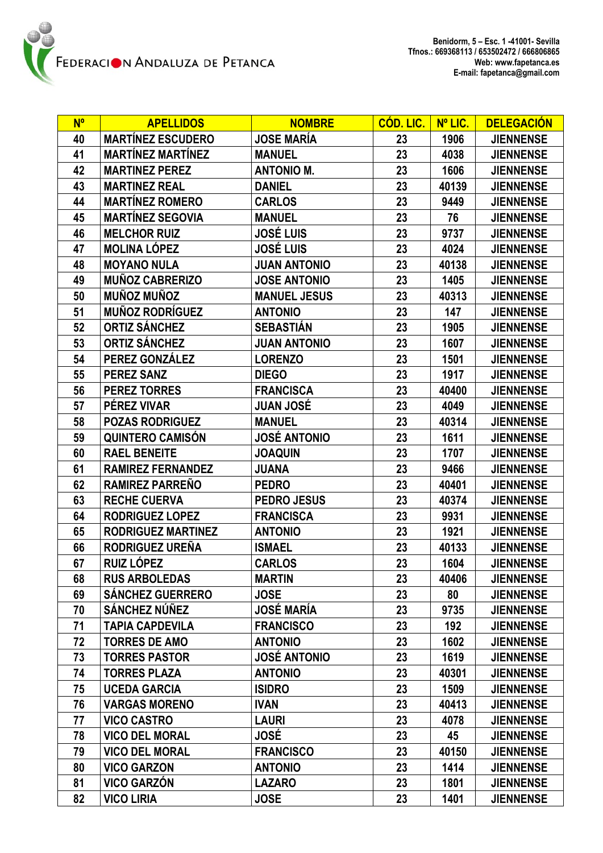| $N^{\circ}$ | <b>APELLIDOS</b>          | <b>NOMBRE</b>       | <b>CÓD. LIC.</b> | Nº LIC. | <b>DELEGACIÓN</b> |
|-------------|---------------------------|---------------------|------------------|---------|-------------------|
| 40          | <b>MARTÍNEZ ESCUDERO</b>  | <b>JOSE MARÍA</b>   | 23               | 1906    | <b>JIENNENSE</b>  |
| 41          | <b>MARTÍNEZ MARTÍNEZ</b>  | <b>MANUEL</b>       | 23               | 4038    | <b>JIENNENSE</b>  |
| 42          | <b>MARTINEZ PEREZ</b>     | <b>ANTONIO M.</b>   | 23               | 1606    | <b>JIENNENSE</b>  |
| 43          | <b>MARTINEZ REAL</b>      | <b>DANIEL</b>       | 23               | 40139   | <b>JIENNENSE</b>  |
| 44          | <b>MARTÍNEZ ROMERO</b>    | <b>CARLOS</b>       | 23               | 9449    | <b>JIENNENSE</b>  |
| 45          | <b>MARTÍNEZ SEGOVIA</b>   | <b>MANUEL</b>       | 23               | 76      | <b>JIENNENSE</b>  |
| 46          | <b>MELCHOR RUIZ</b>       | <b>JOSÉ LUIS</b>    | 23               | 9737    | <b>JIENNENSE</b>  |
| 47          | <b>MOLINA LÓPEZ</b>       | <b>JOSÉ LUIS</b>    | 23               | 4024    | <b>JIENNENSE</b>  |
| 48          | <b>MOYANO NULA</b>        | <b>JUAN ANTONIO</b> | 23               | 40138   | <b>JIENNENSE</b>  |
| 49          | <b>MUÑOZ CABRERIZO</b>    | <b>JOSE ANTONIO</b> | 23               | 1405    | <b>JIENNENSE</b>  |
| 50          | <b>MUÑOZ MUÑOZ</b>        | <b>MANUEL JESUS</b> | 23               | 40313   | <b>JIENNENSE</b>  |
| 51          | <b>MUÑOZ RODRÍGUEZ</b>    | <b>ANTONIO</b>      | 23               | 147     | <b>JIENNENSE</b>  |
| 52          | <b>ORTIZ SÁNCHEZ</b>      | <b>SEBASTIÁN</b>    | 23               | 1905    | <b>JIENNENSE</b>  |
| 53          | <b>ORTIZ SÁNCHEZ</b>      | <b>JUAN ANTONIO</b> | 23               | 1607    | <b>JIENNENSE</b>  |
| 54          | PEREZ GONZÁLEZ            | <b>LORENZO</b>      | 23               | 1501    | <b>JIENNENSE</b>  |
| 55          | <b>PEREZ SANZ</b>         | <b>DIEGO</b>        | 23               | 1917    | <b>JIENNENSE</b>  |
| 56          | <b>PEREZ TORRES</b>       | <b>FRANCISCA</b>    | 23               | 40400   | <b>JIENNENSE</b>  |
| 57          | PÉREZ VIVAR               | <b>JUAN JOSÉ</b>    | 23               | 4049    | <b>JIENNENSE</b>  |
| 58          | <b>POZAS RODRIGUEZ</b>    | <b>MANUEL</b>       | 23               | 40314   | <b>JIENNENSE</b>  |
| 59          | <b>QUINTERO CAMISÓN</b>   | <b>JOSÉ ANTONIO</b> | 23               | 1611    | <b>JIENNENSE</b>  |
| 60          | <b>RAEL BENEITE</b>       | <b>JOAQUIN</b>      | 23               | 1707    | <b>JIENNENSE</b>  |
| 61          | <b>RAMIREZ FERNANDEZ</b>  | <b>JUANA</b>        | 23               | 9466    | <b>JIENNENSE</b>  |
| 62          | <b>RAMIREZ PARREÑO</b>    | <b>PEDRO</b>        | 23               | 40401   | <b>JIENNENSE</b>  |
| 63          | <b>RECHE CUERVA</b>       | <b>PEDRO JESUS</b>  | 23               | 40374   | <b>JIENNENSE</b>  |
| 64          | <b>RODRIGUEZ LOPEZ</b>    | <b>FRANCISCA</b>    | 23               | 9931    | <b>JIENNENSE</b>  |
| 65          | <b>RODRIGUEZ MARTINEZ</b> | <b>ANTONIO</b>      | 23               | 1921    | <b>JIENNENSE</b>  |
| 66          | RODRIGUEZ UREÑA           | <b>ISMAEL</b>       | 23               | 40133   | <b>JIENNENSE</b>  |
| 67          | RUIZ LÓPEZ                | <b>CARLOS</b>       | 23               | 1604    | <b>JIENNENSE</b>  |
| 68          | <b>RUS ARBOLEDAS</b>      | <b>MARTIN</b>       | 23               | 40406   | <b>JIENNENSE</b>  |
| 69          | <b>SÁNCHEZ GUERRERO</b>   | <b>JOSE</b>         | 23               | 80      | <b>JIENNENSE</b>  |
| 70          | <b>SÁNCHEZ NÚÑEZ</b>      | JOSÉ MARÍA          | 23               | 9735    | <b>JIENNENSE</b>  |
| 71          | <b>TAPIA CAPDEVILA</b>    | <b>FRANCISCO</b>    | 23               | 192     | <b>JIENNENSE</b>  |
| 72          | <b>TORRES DE AMO</b>      | <b>ANTONIO</b>      | 23               | 1602    | <b>JIENNENSE</b>  |
| 73          | <b>TORRES PASTOR</b>      | <b>JOSÉ ANTONIO</b> | 23               | 1619    | <b>JIENNENSE</b>  |
| 74          | <b>TORRES PLAZA</b>       | <b>ANTONIO</b>      | 23               | 40301   | <b>JIENNENSE</b>  |
| 75          | <b>UCEDA GARCIA</b>       | <b>ISIDRO</b>       | 23               | 1509    | <b>JIENNENSE</b>  |
| 76          | <b>VARGAS MORENO</b>      | <b>IVAN</b>         | 23               | 40413   | <b>JIENNENSE</b>  |
| 77          | <b>VICO CASTRO</b>        | <b>LAURI</b>        | 23               | 4078    | <b>JIENNENSE</b>  |
| 78          | <b>VICO DEL MORAL</b>     | <b>JOSÉ</b>         | 23               | 45      | <b>JIENNENSE</b>  |
| 79          | <b>VICO DEL MORAL</b>     | <b>FRANCISCO</b>    | 23               | 40150   | <b>JIENNENSE</b>  |
| 80          | <b>VICO GARZON</b>        | <b>ANTONIO</b>      | 23               | 1414    | <b>JIENNENSE</b>  |
| 81          | <b>VICO GARZÓN</b>        | <b>LAZARO</b>       | 23               | 1801    | <b>JIENNENSE</b>  |
| 82          | <b>VICO LIRIA</b>         | <b>JOSE</b>         | 23               | 1401    | <b>JIENNENSE</b>  |